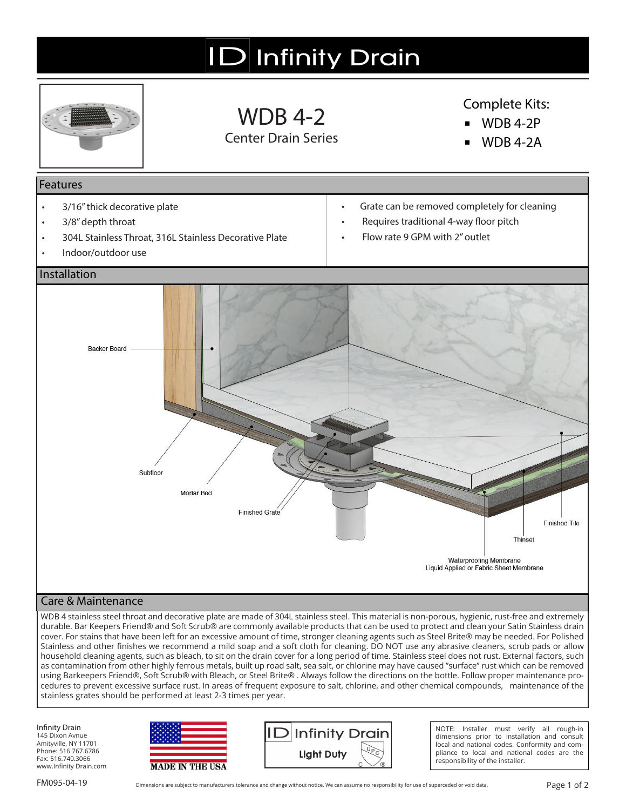# **ID** Infinity Drain



WDB 4-2 Center Drain Series

#### Complete Kits:

- **▪** WDB 4-2P
- **▪** WDB 4-2A

#### Features

- 3/16" thick decorative plate
- 3/8" depth throat
- 304L Stainless Throat, 316L Stainless Decorative Plate
- Indoor/outdoor use
- Grate can be removed completely for cleaning
- Requires traditional 4-way floor pitch
- Flow rate 9 GPM with 2" outlet



#### Care & Maintenance

WDB 4 stainless steel throat and decorative plate are made of 304L stainless steel. This material is non-porous, hygienic, rust-free and extremely durable. Bar Keepers Friend® and Soft Scrub® are commonly available products that can be used to protect and clean your Satin Stainless drain cover. For stains that have been left for an excessive amount of time, stronger cleaning agents such as Steel Brite® may be needed. For Polished Stainless and other finishes we recommend a mild soap and a soft cloth for cleaning. DO NOT use any abrasive cleaners, scrub pads or allow household cleaning agents, such as bleach, to sit on the drain cover for a long period of time. Stainless steel does not rust. External factors, such as contamination from other highly ferrous metals, built up road salt, sea salt, or chlorine may have caused "surface" rust which can be removed using Barkeepers Friend®, Soft Scrub® with Bleach, or Steel Brite® . Always follow the directions on the bottle. Follow proper maintenance procedures to prevent excessive surface rust. In areas of frequent exposure to salt, chlorine, and other chemical compounds, maintenance of the stainless grates should be performed at least 2-3 times per year.

Infinity Drain 145 Dixon Avnue Amityville, NY 11701 Phone: 516.767.6786 Fax: 516.740.3066 www.Infinity Drain.com





NOTE: Installer must verify all rough-in dimensions prior to installation and consult local and national codes. Conformity and compliance to local and national codes are the responsibility of the installer.